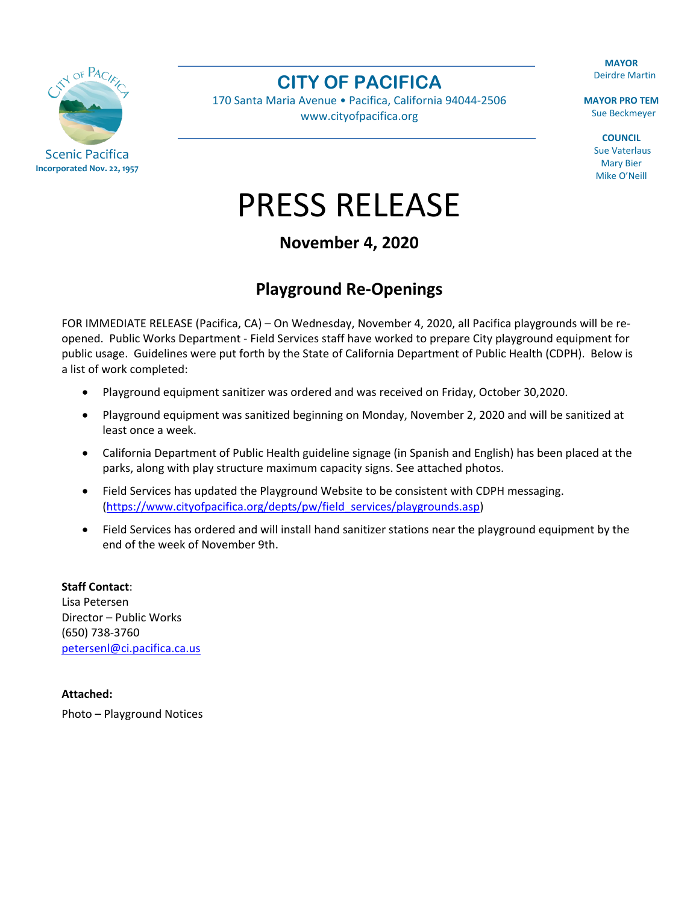**MAYOR** Deirdre Martin

**MAYOR PRO TEM** Sue Beckmeyer

> **COUNCIL** Sue Vaterlaus Mary Bier Mike O'Neill



**CITY OF PACIFICA**

170 Santa Maria Avenue • Pacifica, California 94044-2506 [www.cityofpacifica.org](http://www.cityofpacifica.org/)

PRESS RELEASE

## **November 4, 2020**

## **Playground Re-Openings**

FOR IMMEDIATE RELEASE (Pacifica, CA) – On Wednesday, November 4, 2020, all Pacifica playgrounds will be reopened. Public Works Department - Field Services staff have worked to prepare City playground equipment for public usage. Guidelines were put forth by the State of California Department of Public Health (CDPH). Below is a list of work completed:

- Playground equipment sanitizer was ordered and was received on Friday, October 30,2020.
- Playground equipment was sanitized beginning on Monday, November 2, 2020 and will be sanitized at least once a week.
- California Department of Public Health guideline signage (in Spanish and English) has been placed at the parks, along with play structure maximum capacity signs. See attached photos.
- Field Services has updated the Playground Website to be consistent with CDPH messaging. [\(https://www.cityofpacifica.org/depts/pw/field\\_services/playgrounds.asp\)](https://www.cityofpacifica.org/depts/pw/field_services/playgrounds.asp)
- Field Services has ordered and will install hand sanitizer stations near the playground equipment by the end of the week of November 9th.

**Staff Contact**: Lisa Petersen Director – Public Works (650) 738-3760 [petersenl@ci.pacifica.ca.us](mailto:petersenl@ci.pacifica.ca.us)

**Attached:** 

Photo – Playground Notices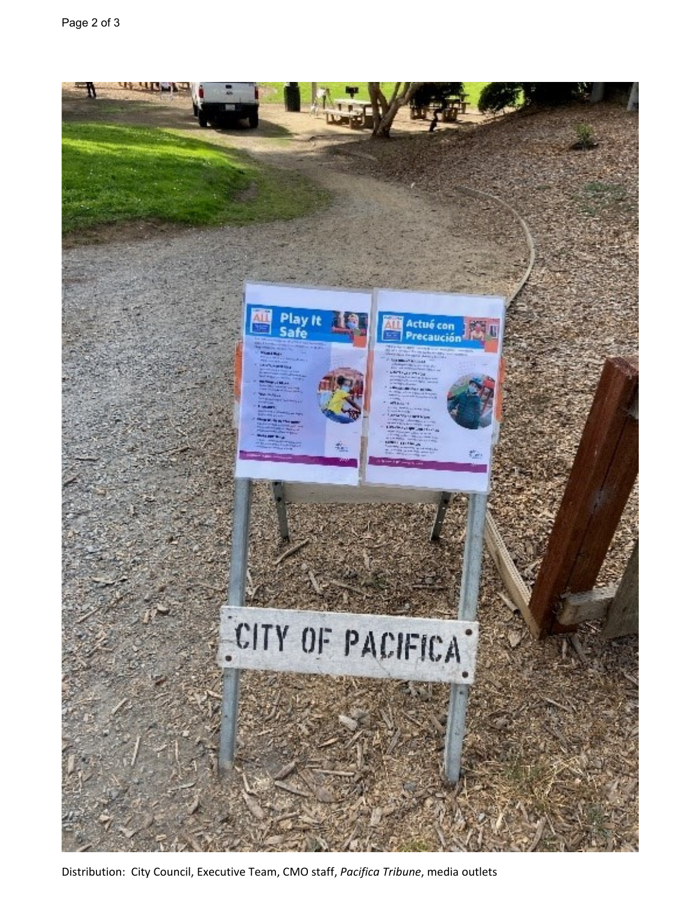

Distribution: City Council, Executive Team, CMO staff, *Pacifica Tribune*, media outlets